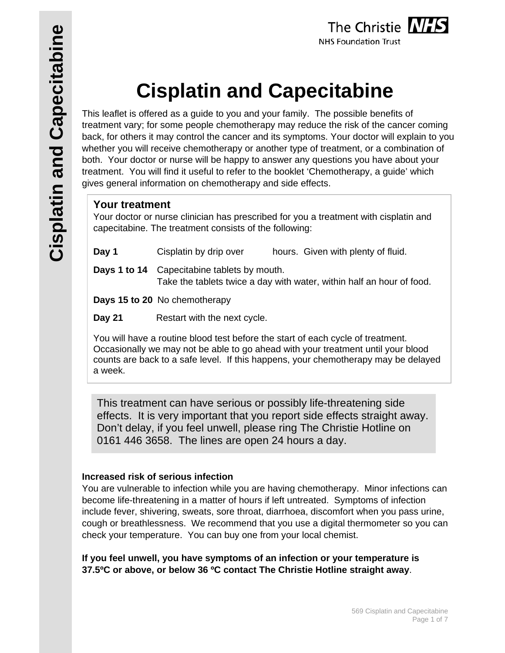# **Cisplatin and Capecitabine**

This leaflet is offered as a guide to you and your family. The possible benefits of treatment vary; for some people chemotherapy may reduce the risk of the cancer coming back, for others it may control the cancer and its symptoms. Your doctor will explain to you whether you will receive chemotherapy or another type of treatment, or a combination of both. Your doctor or nurse will be happy to answer any questions you have about your treatment. You will find it useful to refer to the booklet 'Chemotherapy, a guide' which gives general information on chemotherapy and side effects.

#### **Your treatment**

Your doctor or nurse clinician has prescribed for you a treatment with cisplatin and capecitabine. The treatment consists of the following:

| Day 1<br>Cisplatin by drip over | hours. Given with plenty of fluid. |
|---------------------------------|------------------------------------|
|---------------------------------|------------------------------------|

**Days 1 to 14** Capecitabine tablets by mouth. Take the tablets twice a day with water, within half an hour of food.

**Days 15 to 20** No chemotherapy

**Day 21** Restart with the next cycle.

You will have a routine blood test before the start of each cycle of treatment. Occasionally we may not be able to go ahead with your treatment until your blood counts are back to a safe level. If this happens, your chemotherapy may be delayed a week.

This treatment can have serious or possibly life-threatening side effects. It is very important that you report side effects straight away. Don't delay, if you feel unwell, please ring The Christie Hotline on 0161 446 3658. The lines are open 24 hours a day.

#### **Increased risk of serious infection**

You are vulnerable to infection while you are having chemotherapy. Minor infections can become life-threatening in a matter of hours if left untreated. Symptoms of infection include fever, shivering, sweats, sore throat, diarrhoea, discomfort when you pass urine, cough or breathlessness. We recommend that you use a digital thermometer so you can check your temperature. You can buy one from your local chemist.

**If you feel unwell, you have symptoms of an infection or your temperature is 37.5ºC or above, or below 36 ºC contact The Christie Hotline straight away**.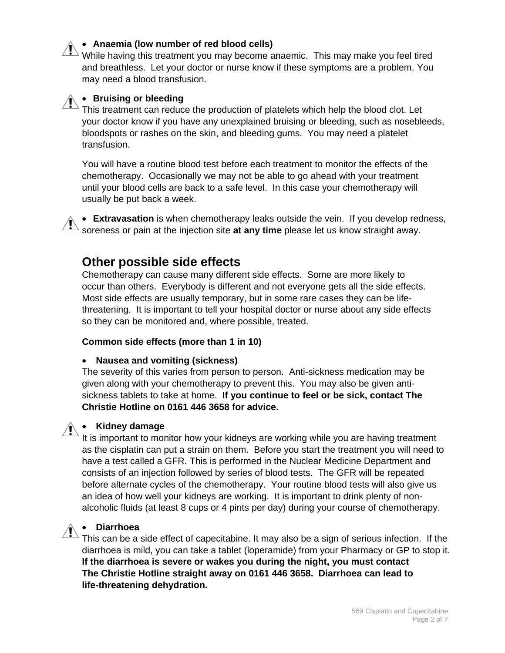#### **Anaemia (low number of red blood cells)**

 $^{\circ}$  While having this treatment you may become anaemic. This may make you feel tired and breathless. Let your doctor or nurse know if these symptoms are a problem. You may need a blood transfusion.

#### **Bruising or bleeding**

This treatment can reduce the production of platelets which help the blood clot. Let your doctor know if you have any unexplained bruising or bleeding, such as nosebleeds, bloodspots or rashes on the skin, and bleeding gums. You may need a platelet transfusion.

You will have a routine blood test before each treatment to monitor the effects of the chemotherapy. Occasionally we may not be able to go ahead with your treatment until your blood cells are back to a safe level. In this case your chemotherapy will usually be put back a week.

 **Extravasation** is when chemotherapy leaks outside the vein. If you develop redness, soreness or pain at the injection site **at any time** please let us know straight away.

#### **Other possible side effects**

Chemotherapy can cause many different side effects. Some are more likely to occur than others. Everybody is different and not everyone gets all the side effects. Most side effects are usually temporary, but in some rare cases they can be lifethreatening. It is important to tell your hospital doctor or nurse about any side effects so they can be monitored and, where possible, treated.

#### **Common side effects (more than 1 in 10)**

#### **Nausea and vomiting (sickness)**

The severity of this varies from person to person. Anti-sickness medication may be given along with your chemotherapy to prevent this. You may also be given antisickness tablets to take at home. **If you continue to feel or be sick, contact The Christie Hotline on 0161 446 3658 for advice.** 

#### **Kidney damage**

It is important to monitor how your kidneys are working while you are having treatment as the cisplatin can put a strain on them. Before you start the treatment you will need to have a test called a GFR. This is performed in the Nuclear Medicine Department and consists of an injection followed by series of blood tests. The GFR will be repeated before alternate cycles of the chemotherapy. Your routine blood tests will also give us an idea of how well your kidneys are working. It is important to drink plenty of nonalcoholic fluids (at least 8 cups or 4 pints per day) during your course of chemotherapy.

## **Diarrhoea**

 $\Delta$  This can be a side effect of capecitabine. It may also be a sign of serious infection. If the diarrhoea is mild, you can take a tablet (loperamide) from your Pharmacy or GP to stop it. **If the diarrhoea is severe or wakes you during the night, you must contact The Christie Hotline straight away on 0161 446 3658. Diarrhoea can lead to life-threatening dehydration.**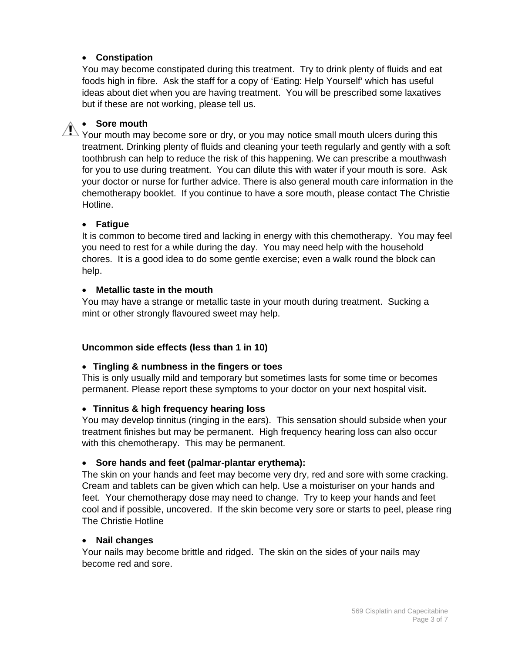#### **Constipation**

You may become constipated during this treatment. Try to drink plenty of fluids and eat foods high in fibre. Ask the staff for a copy of 'Eating: Help Yourself' which has useful ideas about diet when you are having treatment. You will be prescribed some laxatives but if these are not working, please tell us.

#### **Sore mouth**

 $\sqrt{N}$  Your mouth may become sore or dry, or you may notice small mouth ulcers during this treatment. Drinking plenty of fluids and cleaning your teeth regularly and gently with a soft toothbrush can help to reduce the risk of this happening. We can prescribe a mouthwash for you to use during treatment. You can dilute this with water if your mouth is sore. Ask your doctor or nurse for further advice. There is also general mouth care information in the chemotherapy booklet. If you continue to have a sore mouth, please contact The Christie Hotline.

#### **Fatigue**

It is common to become tired and lacking in energy with this chemotherapy. You may feel you need to rest for a while during the day. You may need help with the household chores. It is a good idea to do some gentle exercise; even a walk round the block can help.

#### **Metallic taste in the mouth**

You may have a strange or metallic taste in your mouth during treatment. Sucking a mint or other strongly flavoured sweet may help.

#### **Uncommon side effects (less than 1 in 10)**

#### **Tingling & numbness in the fingers or toes**

This is only usually mild and temporary but sometimes lasts for some time or becomes permanent. Please report these symptoms to your doctor on your next hospital visit**.** 

#### **Tinnitus & high frequency hearing loss**

You may develop tinnitus (ringing in the ears). This sensation should subside when your treatment finishes but may be permanent. High frequency hearing loss can also occur with this chemotherapy. This may be permanent.

#### **Sore hands and feet (palmar-plantar erythema):**

The skin on your hands and feet may become very dry, red and sore with some cracking. Cream and tablets can be given which can help. Use a moisturiser on your hands and feet. Your chemotherapy dose may need to change. Try to keep your hands and feet cool and if possible, uncovered. If the skin become very sore or starts to peel, please ring The Christie Hotline

#### **Nail changes**

Your nails may become brittle and ridged. The skin on the sides of your nails may become red and sore.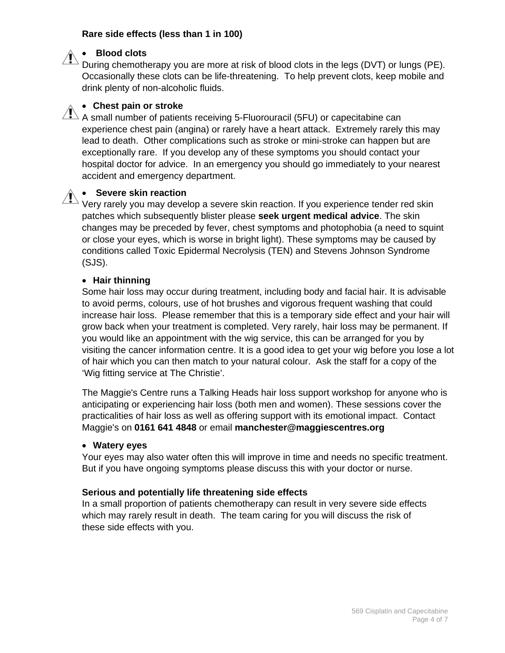#### **Rare side effects (less than 1 in 100)**

#### **Blood clots**

During chemotherapy you are more at risk of blood clots in the legs (DVT) or lungs (PE). Occasionally these clots can be life-threatening. To help prevent clots, keep mobile and drink plenty of non-alcoholic fluids.

#### **Chest pain or stroke**

 $\overline{\mathcal{A}}$  A small number of patients receiving 5-Fluorouracil (5FU) or capecitabine can experience chest pain (angina) or rarely have a heart attack. Extremely rarely this may lead to death. Other complications such as stroke or mini-stroke can happen but are exceptionally rare. If you develop any of these symptoms you should contact your hospital doctor for advice. In an emergency you should go immediately to your nearest accident and emergency department.

#### **Severe skin reaction**

 $\textsuperscript{b}$  Verv rarely you may develop a severe skin reaction. If you experience tender red skin patches which subsequently blister please **seek urgent medical advice**. The skin changes may be preceded by fever, chest symptoms and photophobia (a need to squint or close your eyes, which is worse in bright light). These symptoms may be caused by conditions called Toxic Epidermal Necrolysis (TEN) and Stevens Johnson Syndrome (SJS).

#### **Hair thinning**

Some hair loss may occur during treatment, including body and facial hair. It is advisable to avoid perms, colours, use of hot brushes and vigorous frequent washing that could increase hair loss. Please remember that this is a temporary side effect and your hair will grow back when your treatment is completed. Very rarely, hair loss may be permanent. If you would like an appointment with the wig service, this can be arranged for you by visiting the cancer information centre. It is a good idea to get your wig before you lose a lot of hair which you can then match to your natural colour. Ask the staff for a copy of the 'Wig fitting service at The Christie'.

The Maggie's Centre runs a Talking Heads hair loss support workshop for anyone who is anticipating or experiencing hair loss (both men and women). These sessions cover the practicalities of hair loss as well as offering support with its emotional impact. Contact Maggie's on **0161 641 4848** or email **manchester@maggiescentres.org**

#### **Watery eyes**

Your eyes may also water often this will improve in time and needs no specific treatment. But if you have ongoing symptoms please discuss this with your doctor or nurse.

#### **Serious and potentially life threatening side effects**

In a small proportion of patients chemotherapy can result in very severe side effects which may rarely result in death. The team caring for you will discuss the risk of these side effects with you.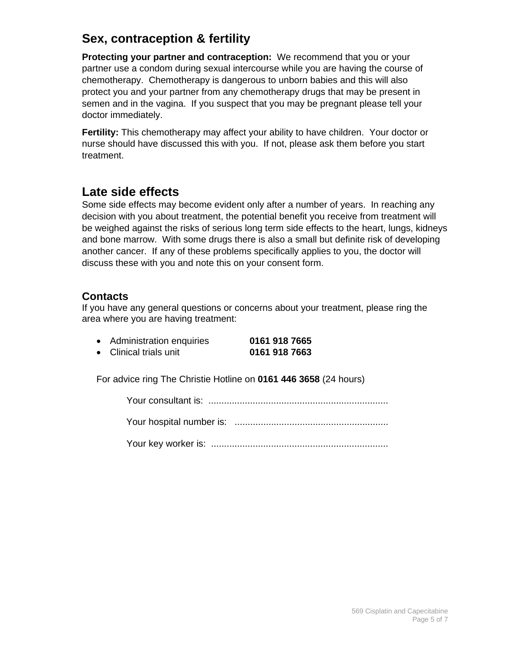## **Sex, contraception & fertility**

**Protecting your partner and contraception:** We recommend that you or your partner use a condom during sexual intercourse while you are having the course of chemotherapy. Chemotherapy is dangerous to unborn babies and this will also protect you and your partner from any chemotherapy drugs that may be present in semen and in the vagina. If you suspect that you may be pregnant please tell your doctor immediately.

**Fertility:** This chemotherapy may affect your ability to have children. Your doctor or nurse should have discussed this with you. If not, please ask them before you start treatment.

### **Late side effects**

Some side effects may become evident only after a number of years. In reaching any decision with you about treatment, the potential benefit you receive from treatment will be weighed against the risks of serious long term side effects to the heart, lungs, kidneys and bone marrow. With some drugs there is also a small but definite risk of developing another cancer. If any of these problems specifically applies to you, the doctor will discuss these with you and note this on your consent form.

#### **Contacts**

If you have any general questions or concerns about your treatment, please ring the area where you are having treatment:

| • Administration enquiries | 0161 918 7665 |
|----------------------------|---------------|
| • Clinical trials unit     | 0161 918 7663 |

For advice ring The Christie Hotline on **0161 446 3658** (24 hours)

Your consultant is: .....................................................................

Your hospital number is: ...........................................................

Your key worker is: ....................................................................